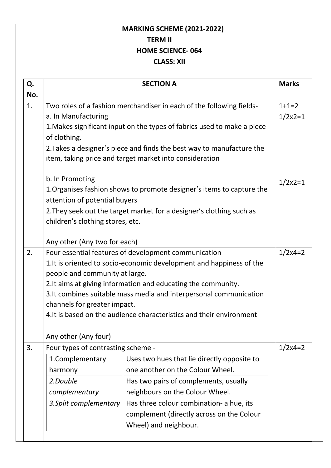## **MARKING SCHEME (2021-2022) TERM II HOME SCIENCE- 064 CLASS: XII**

| Q.<br>No. |                                                                                                                                                                        | <b>SECTION A</b>                                                      | <b>Marks</b>          |
|-----------|------------------------------------------------------------------------------------------------------------------------------------------------------------------------|-----------------------------------------------------------------------|-----------------------|
| 1.        | Two roles of a fashion merchandiser in each of the following fields-<br>a. In Manufacturing<br>1. Makes significant input on the types of fabrics used to make a piece |                                                                       | $1+1=2$<br>$1/2x^2=1$ |
|           | of clothing.                                                                                                                                                           | 2. Takes a designer's piece and finds the best way to manufacture the |                       |
|           | b. In Promoting                                                                                                                                                        | item, taking price and target market into consideration               |                       |
|           | attention of potential buyers                                                                                                                                          | 1. Organises fashion shows to promote designer's items to capture the | $1/2x^2=1$            |
|           | children's clothing stores, etc.                                                                                                                                       | 2. They seek out the target market for a designer's clothing such as  |                       |
|           | Any other (Any two for each)                                                                                                                                           |                                                                       |                       |
| 2.        | Four essential features of development communication-                                                                                                                  |                                                                       | $1/2x4=2$             |
|           | 1. It is oriented to socio-economic development and happiness of the                                                                                                   |                                                                       |                       |
|           | people and community at large.                                                                                                                                         |                                                                       |                       |
|           | 2. It aims at giving information and educating the community.                                                                                                          |                                                                       |                       |
|           | 3. It combines suitable mass media and interpersonal communication                                                                                                     |                                                                       |                       |
|           | channels for greater impact.                                                                                                                                           |                                                                       |                       |
|           | 4. It is based on the audience characteristics and their environment                                                                                                   |                                                                       |                       |
|           | Any other (Any four)                                                                                                                                                   |                                                                       |                       |
| 3.        | Four types of contrasting scheme -                                                                                                                                     |                                                                       | $1/2x4=2$             |
|           | 1.Complementary                                                                                                                                                        | Uses two hues that lie directly opposite to                           |                       |
|           | harmony                                                                                                                                                                | one another on the Colour Wheel.                                      |                       |
|           | 2.Double                                                                                                                                                               | Has two pairs of complements, usually                                 |                       |
|           | complementary                                                                                                                                                          | neighbours on the Colour Wheel.                                       |                       |
|           | 3. Split complementary                                                                                                                                                 | Has three colour combination- a hue, its                              |                       |
|           |                                                                                                                                                                        | complement (directly across on the Colour                             |                       |
|           |                                                                                                                                                                        |                                                                       |                       |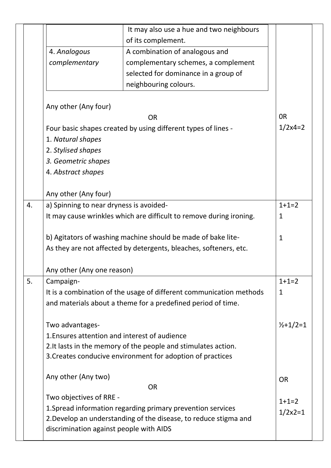|    |                                               | It may also use a hue and two neighbours                                                                                     |                     |
|----|-----------------------------------------------|------------------------------------------------------------------------------------------------------------------------------|---------------------|
|    |                                               | of its complement.                                                                                                           |                     |
|    | 4. Analogous                                  | A combination of analogous and                                                                                               |                     |
|    | complementary                                 | complementary schemes, a complement                                                                                          |                     |
|    |                                               | selected for dominance in a group of                                                                                         |                     |
|    |                                               | neighbouring colours.                                                                                                        |                     |
|    | Any other (Any four)                          |                                                                                                                              |                     |
|    |                                               | <b>OR</b>                                                                                                                    | 0 <sub>R</sub>      |
|    |                                               | Four basic shapes created by using different types of lines -                                                                | $1/2x4=2$           |
|    | 1. Natural shapes                             |                                                                                                                              |                     |
|    | 2. Stylised shapes                            |                                                                                                                              |                     |
|    | 3. Geometric shapes                           |                                                                                                                              |                     |
|    | 4. Abstract shapes                            |                                                                                                                              |                     |
|    |                                               |                                                                                                                              |                     |
|    | Any other (Any four)                          |                                                                                                                              |                     |
| 4. | a) Spinning to near dryness is avoided-       |                                                                                                                              | $1+1=2$             |
|    |                                               | It may cause wrinkles which are difficult to remove during ironing.                                                          | 1                   |
|    |                                               | b) Agitators of washing machine should be made of bake lite-                                                                 | $\mathbf{1}$        |
|    |                                               | As they are not affected by detergents, bleaches, softeners, etc.                                                            |                     |
|    |                                               |                                                                                                                              |                     |
|    | Any other (Any one reason)                    |                                                                                                                              |                     |
| 5. | Campaign-                                     |                                                                                                                              | $1+1=2$             |
|    |                                               | It is a combination of the usage of different communication methods                                                          | $\mathbf{1}$        |
|    |                                               | and materials about a theme for a predefined period of time.                                                                 |                     |
|    |                                               |                                                                                                                              |                     |
|    | Two advantages-                               |                                                                                                                              | $\frac{1}{2}+1/2=1$ |
|    | 1. Ensures attention and interest of audience |                                                                                                                              |                     |
|    |                                               | 2. It lasts in the memory of the people and stimulates action.<br>3. Creates conducive environment for adoption of practices |                     |
|    |                                               |                                                                                                                              |                     |
|    | Any other (Any two)                           |                                                                                                                              | <b>OR</b>           |
|    |                                               | <b>OR</b>                                                                                                                    |                     |
|    | Two objectives of RRE -                       |                                                                                                                              | $1+1=2$             |
|    |                                               | 1. Spread information regarding primary prevention services                                                                  | $1/2x^2=1$          |
|    |                                               | 2. Develop an understanding of the disease, to reduce stigma and                                                             |                     |
|    | discrimination against people with AIDS       |                                                                                                                              |                     |
|    |                                               |                                                                                                                              |                     |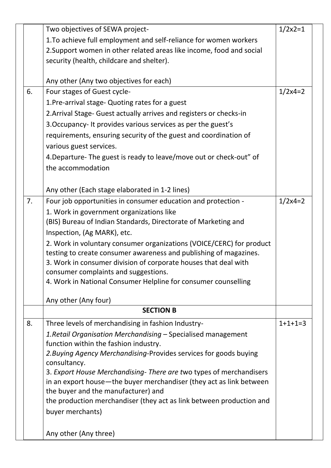|    | Two objectives of SEWA project-                                      | $1/2x2=1$ |
|----|----------------------------------------------------------------------|-----------|
|    | 1. To achieve full employment and self-reliance for women workers    |           |
|    | 2. Support women in other related areas like income, food and social |           |
|    | security (health, childcare and shelter).                            |           |
|    |                                                                      |           |
|    | Any other (Any two objectives for each)                              |           |
| 6. | Four stages of Guest cycle-                                          | $1/2x4=2$ |
|    | 1. Pre-arrival stage- Quoting rates for a guest                      |           |
|    | 2. Arrival Stage- Guest actually arrives and registers or checks-in  |           |
|    | 3. Occupancy- It provides various services as per the guest's        |           |
|    | requirements, ensuring security of the guest and coordination of     |           |
|    | various guest services.                                              |           |
|    | 4. Departure- The guest is ready to leave/move out or check-out" of  |           |
|    | the accommodation                                                    |           |
|    |                                                                      |           |
|    | Any other (Each stage elaborated in 1-2 lines)                       |           |
| 7. | Four job opportunities in consumer education and protection -        | $1/2x4=2$ |
|    | 1. Work in government organizations like                             |           |
|    | (BIS) Bureau of Indian Standards, Directorate of Marketing and       |           |
|    | Inspection, (Ag MARK), etc.                                          |           |
|    | 2. Work in voluntary consumer organizations (VOICE/CERC) for product |           |
|    | testing to create consumer awareness and publishing of magazines.    |           |
|    | 3. Work in consumer division of corporate houses that deal with      |           |
|    | consumer complaints and suggestions.                                 |           |
|    | 4. Work in National Consumer Helpline for consumer counselling       |           |
|    | Any other (Any four)                                                 |           |
|    | <b>SECTION B</b>                                                     |           |
| 8. | Three levels of merchandising in fashion Industry-                   | $1+1+1=3$ |
|    | 1. Retail Organisation Merchandising - Specialised management        |           |
|    | function within the fashion industry.                                |           |
|    | 2. Buying Agency Merchandising-Provides services for goods buying    |           |
|    | consultancy.                                                         |           |
|    | 3. Export House Merchandising-There are two types of merchandisers   |           |
|    | in an export house—the buyer merchandiser (they act as link between  |           |
|    | the buyer and the manufacturer) and                                  |           |
|    | the production merchandiser (they act as link between production and |           |
|    | buyer merchants)                                                     |           |
|    |                                                                      |           |
|    | Any other (Any three)                                                |           |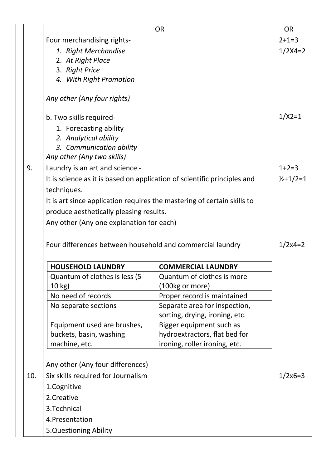|     |                                                                          | <b>OR</b>                      | <b>OR</b>           |
|-----|--------------------------------------------------------------------------|--------------------------------|---------------------|
|     | Four merchandising rights-                                               |                                | $2+1=3$             |
|     | 1. Right Merchandise                                                     |                                | $1/2X4=2$           |
|     | 2. At Right Place                                                        |                                |                     |
|     | 3. Right Price                                                           |                                |                     |
|     | 4. With Right Promotion                                                  |                                |                     |
|     | Any other (Any four rights)                                              |                                |                     |
|     | b. Two skills required-                                                  |                                | $1/X2=1$            |
|     | 1. Forecasting ability                                                   |                                |                     |
|     | 2. Analytical ability                                                    |                                |                     |
|     | 3. Communication ability                                                 |                                |                     |
|     | Any other (Any two skills)                                               |                                |                     |
| 9.  | Laundry is an art and science -                                          |                                | $1+2=3$             |
|     | It is science as it is based on application of scientific principles and |                                | $\frac{1}{2}+1/2=1$ |
|     | techniques.                                                              |                                |                     |
|     | It is art since application requires the mastering of certain skills to  |                                |                     |
|     | produce aesthetically pleasing results.                                  |                                |                     |
|     | Any other (Any one explanation for each)                                 |                                |                     |
|     |                                                                          |                                |                     |
|     | Four differences between household and commercial laundry                |                                | $1/2x4=2$           |
|     |                                                                          |                                |                     |
|     | <b>HOUSEHOLD LAUNDRY</b>                                                 | <b>COMMERCIAL LAUNDRY</b>      |                     |
|     | Quantum of clothes is less (5-                                           | Quantum of clothes is more     |                     |
|     | $10$ kg)                                                                 | (100kg or more)                |                     |
|     | No need of records                                                       | Proper record is maintained    |                     |
|     | No separate sections                                                     | Separate area for inspection,  |                     |
|     |                                                                          | sorting, drying, ironing, etc. |                     |
|     | Equipment used are brushes,                                              | Bigger equipment such as       |                     |
|     | buckets, basin, washing                                                  | hydroextractors, flat bed for  |                     |
|     | machine, etc.                                                            | ironing, roller ironing, etc.  |                     |
|     | Any other (Any four differences)                                         |                                |                     |
| 10. | Six skills required for Journalism -                                     |                                | $1/2x6=3$           |
|     | 1.Cognitive                                                              |                                |                     |
|     | 2.Creative                                                               |                                |                     |
|     | 3. Technical                                                             |                                |                     |
|     | 4. Presentation                                                          |                                |                     |
|     | 5. Questioning Ability                                                   |                                |                     |
|     |                                                                          |                                |                     |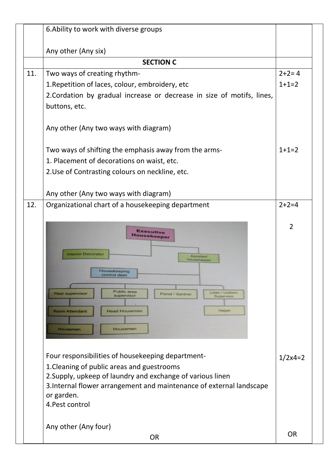|     | 6. Ability to work with diverse groups                                                                                   |                |
|-----|--------------------------------------------------------------------------------------------------------------------------|----------------|
|     | Any other (Any six)                                                                                                      |                |
|     | <b>SECTION C</b>                                                                                                         |                |
| 11. | Two ways of creating rhythm-                                                                                             | $2+2=4$        |
|     | 1. Repetition of laces, colour, embroidery, etc                                                                          | $1+1=2$        |
|     | 2. Cordation by gradual increase or decrease in size of motifs, lines,                                                   |                |
|     | buttons, etc.                                                                                                            |                |
|     |                                                                                                                          |                |
|     | Any other (Any two ways with diagram)                                                                                    |                |
|     | Two ways of shifting the emphasis away from the arms-                                                                    | $1+1=2$        |
|     | 1. Placement of decorations on waist, etc.                                                                               |                |
|     | 2. Use of Contrasting colours on neckline, etc.                                                                          |                |
|     |                                                                                                                          |                |
|     | Any other (Any two ways with diagram)                                                                                    |                |
| 12. | Organizational chart of a housekeeping department                                                                        | $2 + 2 = 4$    |
|     |                                                                                                                          |                |
|     | <b>Executive</b><br><b>Housekeeper</b><br><b>Interior Decorator</b><br><b>Assistant</b><br>housekeeper                   | $\overline{2}$ |
|     | Housekeeping<br>control desk                                                                                             |                |
|     | <b>Public area</b><br>Linen / Uniform<br><b>Floor supervisor</b><br><b>Florist / Gardner</b><br>supervisor<br>Supervisor |                |
|     | Helper<br><b>Room Attendant</b><br><b>Head Housemen</b>                                                                  |                |
|     |                                                                                                                          |                |
|     | Housemen<br><b>Housemen</b>                                                                                              |                |
|     |                                                                                                                          |                |
|     | Four responsibilities of housekeeping department-                                                                        | $1/2x4=2$      |
|     | 1. Cleaning of public areas and guestrooms                                                                               |                |
|     | 2. Supply, upkeep of laundry and exchange of various linen                                                               |                |
|     | 3. Internal flower arrangement and maintenance of external landscape                                                     |                |
|     | or garden.                                                                                                               |                |
|     | 4. Pest control                                                                                                          |                |
|     |                                                                                                                          |                |
|     | Any other (Any four)                                                                                                     | <b>OR</b>      |
|     | <b>OR</b>                                                                                                                |                |